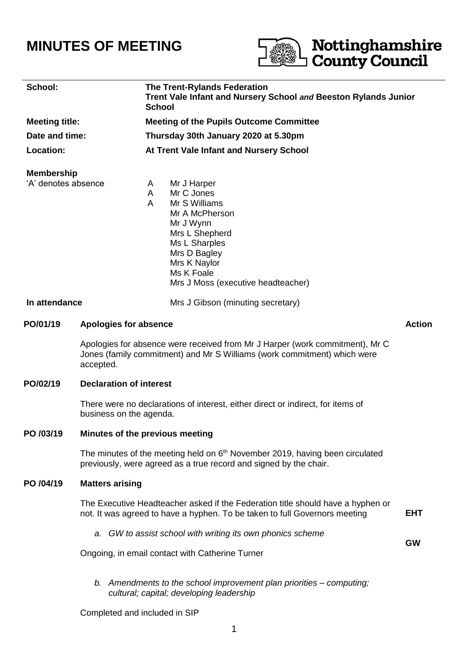# **MINUTES OF MEETING**



# **County Council School: The Trent-Rylands Federation Trent Vale Infant and Nursery School** *and* **Beeston Rylands Junior School Meeting title: Meeting of the Pupils Outcome Committee Date and time: Thursday 30th January 2020 at 5.30pm Location: At Trent Vale Infant and Nursery School Membership** 'A' denotes absence A Mr J Harper A Mr C Jones A Mr S Williams Mr A McPherson Mr J Wynn Mrs L Shepherd Ms L Sharples Mrs D Bagley Mrs K Naylor Ms K Foale Mrs J Moss (executive headteacher) **In attendance** Mrs J Gibson (minuting secretary) **PO/01/19 Apologies for absence Action** Apologies for absence were received from Mr J Harper (work commitment), Mr C Jones (family commitment) and Mr S Williams (work commitment) which were accepted. **PO/02/19 Declaration of interest** There were no declarations of interest, either direct or indirect, for items of business on the agenda. **PO /03/19 Minutes of the previous meeting** The minutes of the meeting held on  $6<sup>th</sup>$  November 2019, having been circulated previously, were agreed as a true record and signed by the chair. **PO /04/19 Matters arising** The Executive Headteacher asked if the Federation title should have a hyphen or not. It was agreed to have a hyphen. To be taken to full Governors meeting **EHT** *a. GW to assist school with writing its own phonics scheme* **GW** Ongoing, in email contact with Catherine Turner *b. Amendments to the school improvement plan priorities – computing;*

Completed and included in SIP

*cultural; capital; developing leadership*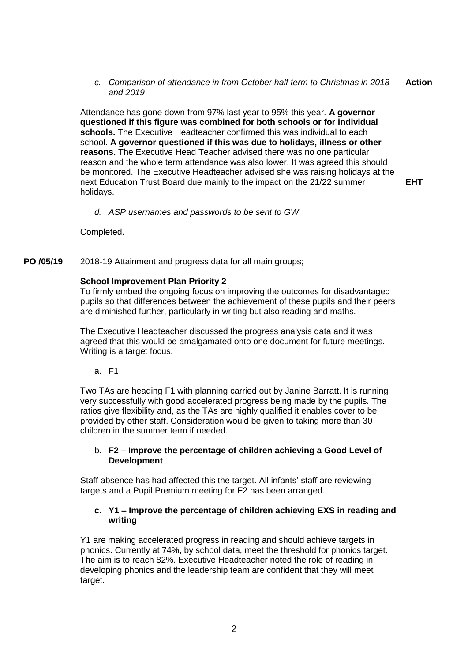*c. Comparison of attendance in from October half term to Christmas in 2018 and 2019* **Action**

Attendance has gone down from 97% last year to 95% this year. **A governor questioned if this figure was combined for both schools or for individual schools.** The Executive Headteacher confirmed this was individual to each school. **A governor questioned if this was due to holidays, illness or other reasons.** The Executive Head Teacher advised there was no one particular reason and the whole term attendance was also lower. It was agreed this should be monitored. The Executive Headteacher advised she was raising holidays at the next Education Trust Board due mainly to the impact on the 21/22 summer holidays.

**EHT**

#### *d. ASP usernames and passwords to be sent to GW*

Completed.

**PO /05/19** 2018-19 Attainment and progress data for all main groups;

#### **School Improvement Plan Priority 2**

To firmly embed the ongoing focus on improving the outcomes for disadvantaged pupils so that differences between the achievement of these pupils and their peers are diminished further, particularly in writing but also reading and maths.

The Executive Headteacher discussed the progress analysis data and it was agreed that this would be amalgamated onto one document for future meetings. Writing is a target focus.

a. F1

Two TAs are heading F1 with planning carried out by Janine Barratt. It is running very successfully with good accelerated progress being made by the pupils. The ratios give flexibility and, as the TAs are highly qualified it enables cover to be provided by other staff. Consideration would be given to taking more than 30 children in the summer term if needed.

#### b. **F2 – Improve the percentage of children achieving a Good Level of Development**

Staff absence has had affected this the target. All infants' staff are reviewing targets and a Pupil Premium meeting for F2 has been arranged.

#### **c. Y1 – Improve the percentage of children achieving EXS in reading and writing**

Y1 are making accelerated progress in reading and should achieve targets in phonics. Currently at 74%, by school data, meet the threshold for phonics target. The aim is to reach 82%. Executive Headteacher noted the role of reading in developing phonics and the leadership team are confident that they will meet target.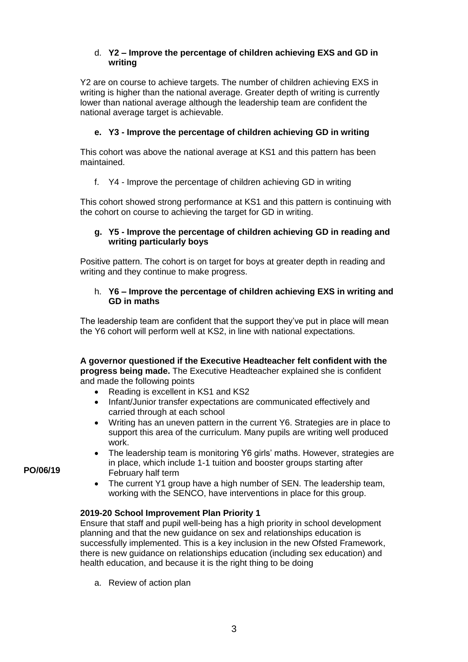# d. **Y2 – Improve the percentage of children achieving EXS and GD in writing**

Y2 are on course to achieve targets. The number of children achieving EXS in writing is higher than the national average. Greater depth of writing is currently lower than national average although the leadership team are confident the national average target is achievable.

# **e. Y3 - Improve the percentage of children achieving GD in writing**

This cohort was above the national average at KS1 and this pattern has been maintained.

f. Y4 - Improve the percentage of children achieving GD in writing

This cohort showed strong performance at KS1 and this pattern is continuing with the cohort on course to achieving the target for GD in writing.

# **g. Y5 - Improve the percentage of children achieving GD in reading and writing particularly boys**

Positive pattern. The cohort is on target for boys at greater depth in reading and writing and they continue to make progress.

# h. **Y6 – Improve the percentage of children achieving EXS in writing and GD in maths**

The leadership team are confident that the support they've put in place will mean the Y6 cohort will perform well at KS2, in line with national expectations.

**A governor questioned if the Executive Headteacher felt confident with the progress being made.** The Executive Headteacher explained she is confident and made the following points

- Reading is excellent in KS1 and KS2
- Infant/Junior transfer expectations are communicated effectively and carried through at each school
- Writing has an uneven pattern in the current Y6. Strategies are in place to support this area of the curriculum. Many pupils are writing well produced work.
- The leadership team is monitoring Y6 girls' maths. However, strategies are in place, which include 1-1 tuition and booster groups starting after February half term
- The current Y1 group have a high number of SEN. The leadership team, working with the SENCO, have interventions in place for this group.

# **2019-20 School Improvement Plan Priority 1**

Ensure that staff and pupil well-being has a high priority in school development planning and that the new guidance on sex and relationships education is successfully implemented. This is a key inclusion in the new Ofsted Framework, there is new guidance on relationships education (including sex education) and health education, and because it is the right thing to be doing

a. Review of action plan

**PO/06/19**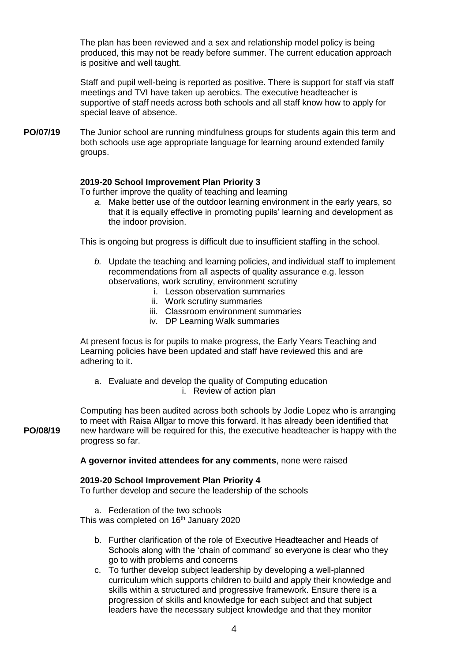The plan has been reviewed and a sex and relationship model policy is being produced, this may not be ready before summer. The current education approach is positive and well taught.

Staff and pupil well-being is reported as positive. There is support for staff via staff meetings and TVI have taken up aerobics. The executive headteacher is supportive of staff needs across both schools and all staff know how to apply for special leave of absence.

**PO/07/19** The Junior school are running mindfulness groups for students again this term and both schools use age appropriate language for learning around extended family groups.

# **2019-20 School Improvement Plan Priority 3**

To further improve the quality of teaching and learning

*a.* Make better use of the outdoor learning environment in the early years, so that it is equally effective in promoting pupils' learning and development as the indoor provision.

This is ongoing but progress is difficult due to insufficient staffing in the school.

- *b.* Update the teaching and learning policies, and individual staff to implement recommendations from all aspects of quality assurance e.g. lesson observations, work scrutiny, environment scrutiny
	- i. Lesson observation summaries
	- ii. Work scrutiny summaries
	- iii. Classroom environment summaries
	- iv. DP Learning Walk summaries

At present focus is for pupils to make progress, the Early Years Teaching and Learning policies have been updated and staff have reviewed this and are adhering to it.

a. Evaluate and develop the quality of Computing education i. Review of action plan

**PO/08/19** Computing has been audited across both schools by Jodie Lopez who is arranging to meet with Raisa Allgar to move this forward. It has already been identified that new hardware will be required for this, the executive headteacher is happy with the progress so far.

**A governor invited attendees for any comments**, none were raised

#### **2019-20 School Improvement Plan Priority 4**

To further develop and secure the leadership of the schools

a. Federation of the two schools

This was completed on 16<sup>th</sup> January 2020

- b. Further clarification of the role of Executive Headteacher and Heads of Schools along with the 'chain of command' so everyone is clear who they go to with problems and concerns
- c. To further develop subject leadership by developing a well-planned curriculum which supports children to build and apply their knowledge and skills within a structured and progressive framework. Ensure there is a progression of skills and knowledge for each subject and that subject leaders have the necessary subject knowledge and that they monitor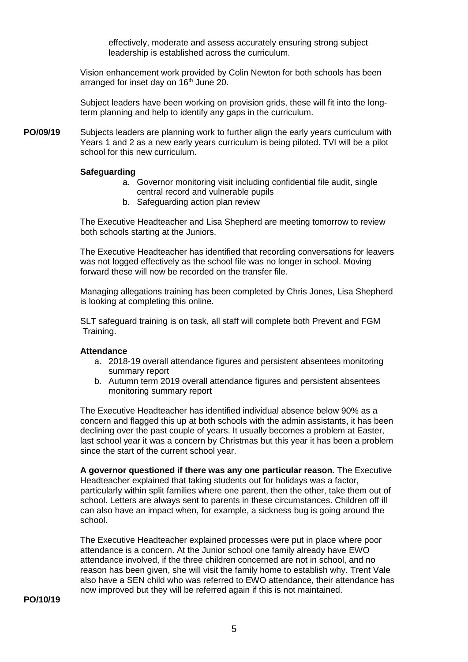effectively, moderate and assess accurately ensuring strong subject leadership is established across the curriculum.

Vision enhancement work provided by Colin Newton for both schools has been arranged for inset day on 16<sup>th</sup> June 20.

Subject leaders have been working on provision grids, these will fit into the longterm planning and help to identify any gaps in the curriculum.

**PO/09/19** Subjects leaders are planning work to further align the early years curriculum with Years 1 and 2 as a new early years curriculum is being piloted. TVI will be a pilot school for this new curriculum.

#### **Safeguarding**

- a. Governor monitoring visit including confidential file audit, single central record and vulnerable pupils
- b. Safeguarding action plan review

The Executive Headteacher and Lisa Shepherd are meeting tomorrow to review both schools starting at the Juniors.

The Executive Headteacher has identified that recording conversations for leavers was not logged effectively as the school file was no longer in school. Moving forward these will now be recorded on the transfer file.

Managing allegations training has been completed by Chris Jones, Lisa Shepherd is looking at completing this online.

SLT safeguard training is on task, all staff will complete both Prevent and FGM Training.

#### **Attendance**

- a. 2018-19 overall attendance figures and persistent absentees monitoring summary report
- b. Autumn term 2019 overall attendance figures and persistent absentees monitoring summary report

The Executive Headteacher has identified individual absence below 90% as a concern and flagged this up at both schools with the admin assistants, it has been declining over the past couple of years. It usually becomes a problem at Easter, last school year it was a concern by Christmas but this year it has been a problem since the start of the current school year.

**A governor questioned if there was any one particular reason.** The Executive Headteacher explained that taking students out for holidays was a factor, particularly within split families where one parent, then the other, take them out of school. Letters are always sent to parents in these circumstances. Children off ill can also have an impact when, for example, a sickness bug is going around the school.

The Executive Headteacher explained processes were put in place where poor attendance is a concern. At the Junior school one family already have EWO attendance involved, if the three children concerned are not in school, and no reason has been given, she will visit the family home to establish why. Trent Vale also have a SEN child who was referred to EWO attendance, their attendance has now improved but they will be referred again if this is not maintained.

**PO/10/19**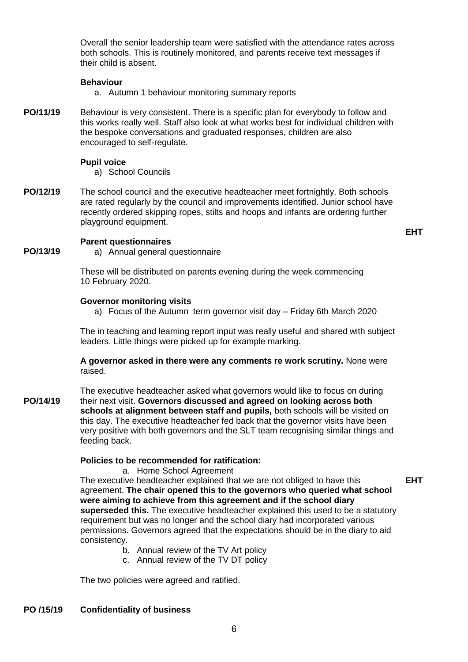Overall the senior leadership team were satisfied with the attendance rates across both schools. This is routinely monitored, and parents receive text messages if their child is absent.

#### **Behaviour**

- a. Autumn 1 behaviour monitoring summary reports
- **PO/11/19** Behaviour is very consistent. There is a specific plan for everybody to follow and this works really well. Staff also look at what works best for individual children with the bespoke conversations and graduated responses, children are also encouraged to self-regulate.

#### **Pupil voice**

- a) School Councils
- **PO/12/19** The school council and the executive headteacher meet fortnightly. Both schools are rated regularly by the council and improvements identified. Junior school have recently ordered skipping ropes, stilts and hoops and infants are ordering further playground equipment.

**EHT**

#### **Parent questionnaires**

**PO/13/19**

a) Annual general questionnaire

These will be distributed on parents evening during the week commencing 10 February 2020.

#### **Governor monitoring visits**

a) Focus of the Autumn term governor visit day – Friday 6th March 2020

The in teaching and learning report input was really useful and shared with subject leaders. Little things were picked up for example marking.

**A governor asked in there were any comments re work scrutiny.** None were raised.

**PO/14/19** The executive headteacher asked what governors would like to focus on during their next visit. **Governors discussed and agreed on looking across both schools at alignment between staff and pupils,** both schools will be visited on this day. The executive headteacher fed back that the governor visits have been very positive with both governors and the SLT team recognising similar things and feeding back.

# **Policies to be recommended for ratification:**

a. Home School Agreement

The executive headteacher explained that we are not obliged to have this agreement. **The chair opened this to the governors who queried what school were aiming to achieve from this agreement and if the school diary superseded this.** The executive headteacher explained this used to be a statutory requirement but was no longer and the school diary had incorporated various permissions. Governors agreed that the expectations should be in the diary to aid consistency. **EHT**

- b. Annual review of the TV Art policy
- c. Annual review of the TV DT policy

The two policies were agreed and ratified.

# **PO /15/19 Confidentiality of business**